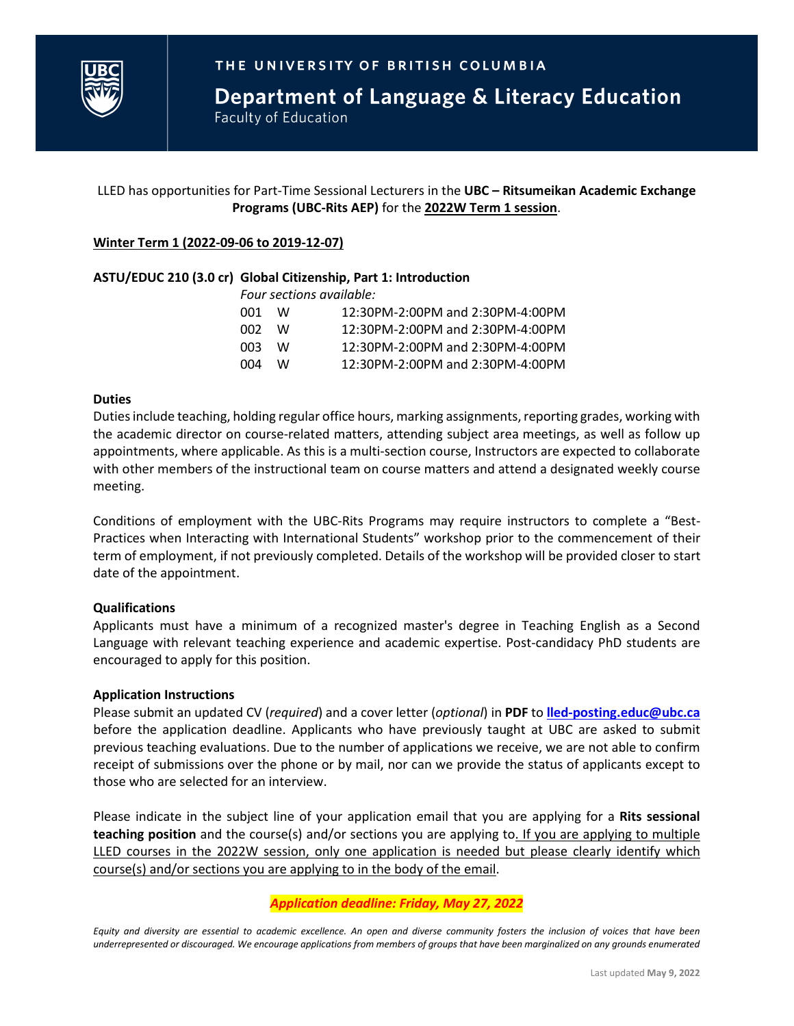

Department of Language & Literacy Education **Faculty of Education** 

# LLED has opportunities for Part-Time Sessional Lecturers in the **UBC – Ritsumeikan Academic Exchange Programs (UBC-Rits AEP)** for the **2022W Term 1 session**.

### **Winter Term 1 (2022-09-06 to 2019-12-07)**

### **ASTU/EDUC 210 (3.0 cr) Global Citizenship, Part 1: Introduction**

*Four sections available:*

| W.  | 12:30PM-2:00PM and 2:30PM-4:00PM |
|-----|----------------------------------|
| W.  | 12:30PM-2:00PM and 2:30PM-4:00PM |
| W.  | 12:30PM-2:00PM and 2:30PM-4:00PM |
| NV. | 12:30PM-2:00PM and 2:30PM-4:00PM |
|     | 002 -<br>003                     |

#### **Duties**

Duties include teaching, holding regular office hours, marking assignments, reporting grades, working with the academic director on course-related matters, attending subject area meetings, as well as follow up appointments, where applicable. As this is a multi-section course, Instructors are expected to collaborate with other members of the instructional team on course matters and attend a designated weekly course meeting.

Conditions of employment with the UBC-Rits Programs may require instructors to complete a "Best-Practices when Interacting with International Students" workshop prior to the commencement of their term of employment, if not previously completed. Details of the workshop will be provided closer to start date of the appointment.

#### **Qualifications**

Applicants must have a minimum of a recognized master's degree in Teaching English as a Second Language with relevant teaching experience and academic expertise. Post-candidacy PhD students are encouraged to apply for this position.

#### **Application Instructions**

Please submit an updated CV (*required*) and a cover letter (*optional*) in **PDF** to **[lled-posting.educ@ubc.ca](mailto:lled-posting.educ@ubc.ca?subject=WT1%20Rits%20Sessional%20Teaching%20Application)** before the application deadline. Applicants who have previously taught at UBC are asked to submit previous teaching evaluations. Due to the number of applications we receive, we are not able to confirm receipt of submissions over the phone or by mail, nor can we provide the status of applicants except to those who are selected for an interview.

Please indicate in the subject line of your application email that you are applying for a **Rits sessional teaching position** and the course(s) and/or sections you are applying to. If you are applying to multiple LLED courses in the 2022W session, only one application is needed but please clearly identify which course(s) and/or sections you are applying to in the body of the email.

## *Application deadline: Friday, May 27, 2022*

*Equity and diversity are essential to academic excellence. An open and diverse community fosters the inclusion of voices that have been underrepresented or discouraged. We encourage applications from members of groups that have been marginalized on any grounds enumerated*